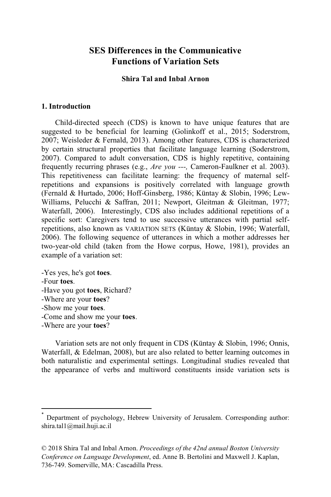## **SES Differences in the Communicative Functions of Variation Sets**

## **Shira Tal and Inbal Arnon**

#### **1. Introduction**

Child-directed speech (CDS) is known to have unique features that are suggested to be beneficial for learning (Golinkoff et al., 2015; Soderstrom, 2007; Weisleder & Fernald, 2013). Among other features, CDS is characterized by certain structural properties that facilitate language learning (Soderstrom, 2007). Compared to adult conversation, CDS is highly repetitive, containing frequently recurring phrases (e.g., *Are you ---,* Cameron-Faulkner et al. 2003). This repetitiveness can facilitate learning: the frequency of maternal selfrepetitions and expansions is positively correlated with language growth (Fernald & Hurtado, 2006; Hoff-Ginsberg, 1986; Küntay & Slobin, 1996; Lew-Williams, Pelucchi & Saffran, 2011; Newport, Gleitman & Gleitman, 1977; Waterfall, 2006). Interestingly, CDS also includes additional repetitions of a specific sort: Caregivers tend to use successive utterances with partial selfrepetitions, also known as VARIATION SETS (Küntay & Slobin, 1996; Waterfall, 2006). The following sequence of utterances in which a mother addresses her two-year-old child (taken from the Howe corpus, Howe, 1981), provides an example of a variation set:

-Yes yes, he's got **toes**. -Four **toes**. -Have you got **toes**, Richard? -Where are your **toes**? -Show me your **toes**. -Come and show me your **toes**. -Where are your **toes**?

Variation sets are not only frequent in CDS (Küntay & Slobin, 1996; Onnis, Waterfall, & Edelman, 2008), but are also related to better learning outcomes in both naturalistic and experimental settings. Longitudinal studies revealed that the appearance of verbs and multiword constituents inside variation sets is

Department of psychology, Hebrew University of Jerusalem. Corresponding author: shira.tal1@mail.huji.ac.il

<sup>© 2018</sup> Shira Tal and Inbal Arnon. *Proceedings of the 42nd annual Boston University Conference on Language Development*, ed. Anne B. Bertolini and Maxwell J. Kaplan, 736-749. Somerville, MA: Cascadilla Press.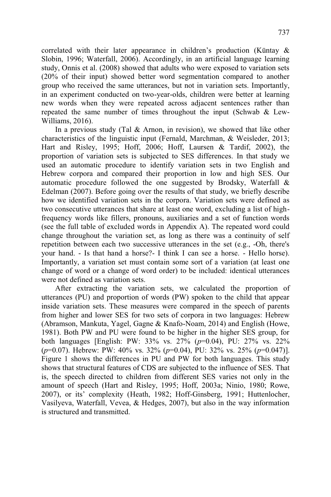correlated with their later appearance in children's production (Küntay & Slobin, 1996; Waterfall, 2006). Accordingly, in an artificial language learning study, Onnis et al. (2008) showed that adults who were exposed to variation sets (20% of their input) showed better word segmentation compared to another group who received the same utterances, but not in variation sets. Importantly, in an experiment conducted on two-year-olds, children were better at learning new words when they were repeated across adjacent sentences rather than repeated the same number of times throughout the input (Schwab & Lew-Williams, 2016).

In a previous study (Tal  $&$  Arnon, in revision), we showed that like other characteristics of the linguistic input (Fernald, Marchman, & Weisleder, 2013; Hart and Risley, 1995; Hoff, 2006; Hoff, Laursen & Tardif, 2002), the proportion of variation sets is subjected to SES differences. In that study we used an automatic procedure to identify variation sets in two English and Hebrew corpora and compared their proportion in low and high SES. Our automatic procedure followed the one suggested by Brodsky, Waterfall & Edelman (2007). Before going over the results of that study, we briefly describe how we identified variation sets in the corpora. Variation sets were defined as two consecutive utterances that share at least one word, excluding a list of highfrequency words like fillers, pronouns, auxiliaries and a set of function words (see the full table of excluded words in Appendix A). The repeated word could change throughout the variation set, as long as there was a continuity of self repetition between each two successive utterances in the set (e.g., -Oh, there's your hand. - Is that hand a horse?- I think I can see a horse. - Hello horse). Importantly, a variation set must contain some sort of a variation (at least one change of word or a change of word order) to be included: identical utterances were not defined as variation sets.

After extracting the variation sets, we calculated the proportion of utterances (PU) and proportion of words (PW) spoken to the child that appear inside variation sets. These measures were compared in the speech of parents from higher and lower SES for two sets of corpora in two languages: Hebrew (Abramson, Mankuta, Yagel, Gagne & Knafo-Noam, 2014) and English (Howe, 1981). Both PW and PU were found to be higher in the higher SES group, for both languages [English: PW: 33% vs. 27% (*p*=0.04), PU: 27% vs. 22% (*p*=0.07). Hebrew: PW: 40% vs. 32% (*p*=0.04), PU: 32% vs. 25% (*p*=0.047)]. Figure 1 shows the differences in PU and PW for both languages. This study shows that structural features of CDS are subjected to the influence of SES. That is, the speech directed to children from different SES varies not only in the amount of speech (Hart and Risley, 1995; Hoff, 2003a; Ninio, 1980; Rowe, 2007), or its' complexity (Heath, 1982; Hoff-Ginsberg, 1991; Huttenlocher, Vasilyeva, Waterfall, Vevea, & Hedges, 2007), but also in the way information is structured and transmitted.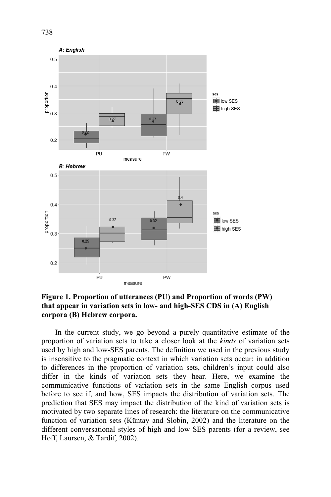



In the current study, we go beyond a purely quantitative estimate of the proportion of variation sets to take a closer look at the *kinds* of variation sets used by high and low-SES parents. The definition we used in the previous study is insensitive to the pragmatic context in which variation sets occur: in addition to differences in the proportion of variation sets, children's input could also differ in the kinds of variation sets they hear. Here, we examine the communicative functions of variation sets in the same English corpus used before to see if, and how, SES impacts the distribution of variation sets. The prediction that SES may impact the distribution of the kind of variation sets is motivated by two separate lines of research: the literature on the communicative function of variation sets (Küntay and Slobin, 2002) and the literature on the different conversational styles of high and low SES parents (for a review, see Hoff, Laursen, & Tardif, 2002).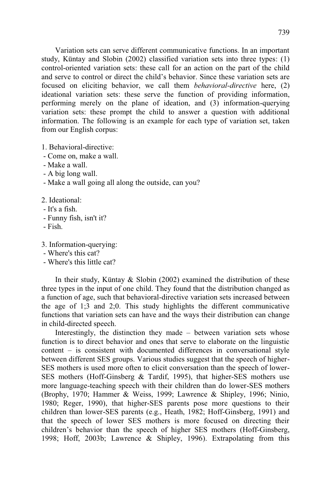Variation sets can serve different communicative functions. In an important study, Küntay and Slobin (2002) classified variation sets into three types: (1) control-oriented variation sets: these call for an action on the part of the child and serve to control or direct the child's behavior. Since these variation sets are focused on eliciting behavior, we call them *behavioral-directive* here, (2) ideational variation sets: these serve the function of providing information, performing merely on the plane of ideation, and (3) information-querying variation sets: these prompt the child to answer a question with additional information. The following is an example for each type of variation set, taken from our English corpus:

1. Behavioral-directive:

- Come on, make a wall.
- Make a wall.
- A big long wall.
- Make a wall going all along the outside, can you?

2. Ideational:

- It's a fish.
- Funny fish, isn't it?
- Fish.

3. Information-querying:

- Where's this cat?
- Where's this little cat?

In their study, Küntay & Slobin (2002) examined the distribution of these three types in the input of one child. They found that the distribution changed as a function of age, such that behavioral-directive variation sets increased between the age of 1;3 and 2;0. This study highlights the different communicative functions that variation sets can have and the ways their distribution can change in child-directed speech.

Interestingly, the distinction they made – between variation sets whose function is to direct behavior and ones that serve to elaborate on the linguistic content – is consistent with documented differences in conversational style between different SES groups. Various studies suggest that the speech of higher-SES mothers is used more often to elicit conversation than the speech of lower-SES mothers (Hoff-Ginsberg & Tardif, 1995), that higher-SES mothers use more language-teaching speech with their children than do lower-SES mothers (Brophy, 1970; Hammer & Weiss, 1999; Lawrence & Shipley, 1996; Ninio, 1980; Reger, 1990), that higher-SES parents pose more questions to their children than lower-SES parents (e.g., Heath, 1982; Hoff-Ginsberg, 1991) and that the speech of lower SES mothers is more focused on directing their children's behavior than the speech of higher SES mothers (Hoff-Ginsberg, 1998; Hoff, 2003b; Lawrence & Shipley, 1996). Extrapolating from this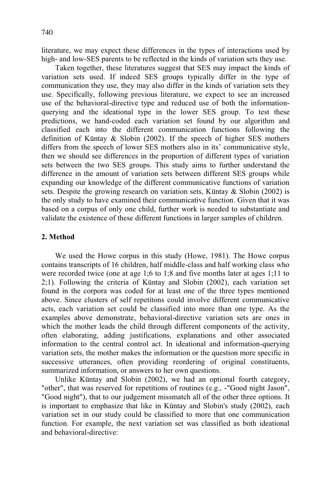literature, we may expect these differences in the types of interactions used by high- and low-SES parents to be reflected in the kinds of variation sets they use.

Taken together, these literatures suggest that SES may impact the kinds of variation sets used. If indeed SES groups typically differ in the type of communication they use, they may also differ in the kinds of variation sets they use. Specifically, following previous literature, we expect to see an increased use of the behavioral-directive type and reduced use of both the informationquerying and the ideational type in the lower SES group. To test these predictions, we hand-coded each variation set found by our algorithm and classified each into the different communication functions following the definition of Küntay & Slobin (2002). If the speech of higher SES mothers differs from the speech of lower SES mothers also in its' communicative style, then we should see differences in the proportion of different types of variation sets between the two SES groups. This study aims to further understand the difference in the amount of variation sets between different SES groups while expanding our knowledge of the different communicative functions of variation sets. Despite the growing research on variation sets, Küntay  $\&$  Slobin (2002) is the only study to have examined their communicative function. Given that it was based on a corpus of only one child, further work is needed to substantiate and validate the existence of these different functions in larger samples of children.

## **2. Method**

We used the Howe corpus in this study (Howe, 1981). The Howe corpus contains transcripts of 16 children, half middle-class and half working class who were recorded twice (one at age 1;6 to 1;8 and five months later at ages 1;11 to 2;1). Following the criteria of Küntay and Slobin (2002), each variation set found in the corpora was coded for at least one of the three types mentioned above. Since clusters of self repetitons could involve different communicative acts, each variation set could be classified into more than one type. As the examples above demonstrate, behavioral-directive variation sets are ones in which the mother leads the child through different components of the activity, often elaborating, adding justifications, explanations and other associated information to the central control act. In ideational and information-querying variation sets, the mother makes the information or the question more specific in successive utterances, often providing reordering of original constituents, summarized information, or answers to her own questions.

Unlike Küntay and Slobin (2002), we had an optional fourth category, "other", that was reserved for repetitions of routines (e.g., -"Good night Jason", "Good night"), that to our judgement missmatch all of the other three options. It is important to emphasize that like in Küntay and Slobin's study (2002), each variation set in our study could be classified to more that one communication function. For example, the next variation set was classified as both ideational and behavioral-directive: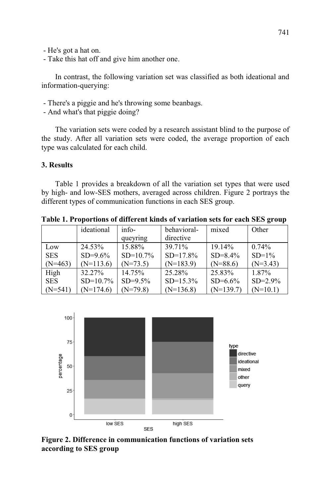- He's got a hat on.

- Take this hat off and give him another one.

In contrast, the following variation set was classified as both ideational and information-querying:

- There's a piggie and he's throwing some beanbags.
- And what's that piggie doing?

The variation sets were coded by a research assistant blind to the purpose of the study. After all variation sets were coded, the average proportion of each type was calculated for each child.

## **3. Results**

Table 1 provides a breakdown of all the variation set types that were used by high- and low-SES mothers, averaged across children. Figure 2 portrays the different types of communication functions in each SES group.

|            | ideational  | $info-$     | behavioral- | mixed        | Other        |
|------------|-------------|-------------|-------------|--------------|--------------|
|            |             | queyring    | directive   |              |              |
| Low        | 24.53%      | 15.88%      | 39.71%      | 19.14%       | $0.74\%$     |
| <b>SES</b> | $SD=9.6\%$  | $SD=10.7\%$ | $SD=17.8\%$ | $SD = 8.4\%$ | $SD=1\%$     |
| $(N=463)$  | $(N=113.6)$ | $(N=73.5)$  | $(N=183.9)$ | $(N=88.6)$   | $(N=3.43)$   |
| High       | 32.27%      | 14.75%      | 25.28%      | 25.83%       | 1.87%        |
| <b>SES</b> | $SD=10.7\%$ | $SD=9.5\%$  | $SD=15.3\%$ | $SD=6.6%$    | $SD = 2.9\%$ |
| $(N=541)$  | $(N=174.6)$ | $(N=79.8)$  | $(N=136.8)$ | $(N=139.7)$  | $(N=10.1)$   |

**Table 1. Proportions of different kinds of variation sets for each SES group**



**Figure 2. Difference in communication functions of variation sets according to SES group**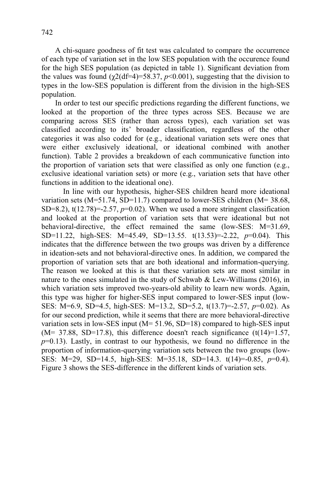A chi-square goodness of fit test was calculated to compare the occurrence of each type of variation set in the low SES population with the occurence found for the high SES population (as depicted in table 1). Significant deviation from the values was found  $(\chi^2(df=4)=58.37, p<0.001)$ , suggesting that the division to types in the low-SES population is different from the division in the high-SES population.

In order to test our specific predictions regarding the different functions, we looked at the proportion of the three types across SES. Because we are comparing across SES (rather than across types), each variation set was classified according to its' broader classification, regardless of the other categories it was also coded for (e.g., ideational variation sets were ones that were either exclusively ideational, or ideational combined with another function). Table 2 provides a breakdown of each communicative function into the proportion of variation sets that were classified as only one function (e.g., exclusive ideational variation sets) or more (e.g., variation sets that have other functions in addition to the ideational one).

In line with our hypothesis, higher-SES children heard more ideational variation sets ( $M=51.74$ , SD=11.7) compared to lower-SES children ( $M=38.68$ , SD=8.2),  $t(12.78)$ =-2.57,  $p=0.02$ ). When we used a more stringent classification and looked at the proportion of variation sets that were ideational but not behavioral-directive, the effect remained the same (low-SES: M=31.69, SD=11.22, high-SES: M=45.49, SD=13.55. t(13.53)=-2.22, *p*=0.04). This indicates that the difference between the two groups was driven by a difference in ideation-sets and not behavioral-directive ones. In addition, we compared the proportion of variation sets that are both ideational and information-querying. The reason we looked at this is that these variation sets are most similar in nature to the ones simulated in the study of Schwab & Lew-Williams  $(2016)$ , in which variation sets improved two-years-old ability to learn new words. Again, this type was higher for higher-SES input compared to lower-SES input (low-SES: M=6.9, SD=4.5, high-SES: M=13.2, SD=5.2, t(13.7)=-2.57, *p*=0.02). As for our second prediction, while it seems that there are more behavioral-directive variation sets in low-SES input  $(M= 51.96, SD=18)$  compared to high-SES input  $(M= 37.88, SD=17.8)$ , this difference doesn't reach significance  $(t(14)=1.57,$ *p*=0.13). Lastly, in contrast to our hypothesis, we found no difference in the proportion of information-querying variation sets between the two groups (low-SES: M=29, SD=14.5, high-SES: M=35.18, SD=14.3. t(14)=-0.85, *p*=0.4). Figure 3 shows the SES-difference in the different kinds of variation sets.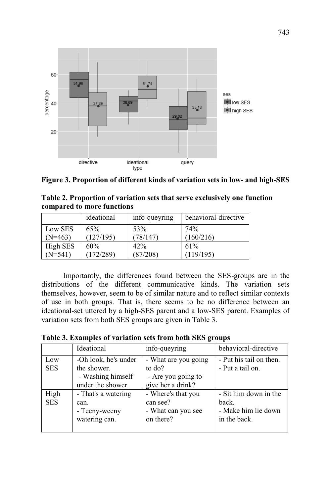



| Table 2. Proportion of variation sets that serve exclusively one function |  |  |
|---------------------------------------------------------------------------|--|--|
| compared to more functions                                                |  |  |

|           | ideational | info-queyring | behavioral-directive |
|-----------|------------|---------------|----------------------|
| Low SES   | 65%        | 53%           | 74%                  |
| $(N=463)$ | (127/195)  | (78/147)      | (160/216)            |
| High SES  | 60%        | 42%           | 61%                  |
| $(N=541)$ | (172/289)  | (87/208)      | (119/195)            |

Importantly, the differences found between the SES-groups are in the distributions of the different communicative kinds. The variation sets themselves, however, seem to be of similar nature and to reflect similar contexts of use in both groups. That is, there seems to be no difference between an ideational-set uttered by a high-SES parent and a low-SES parent. Examples of variation sets from both SES groups are given in Table 3.

| Table 3. Examples of variation sets from both SES groups |  |
|----------------------------------------------------------|--|
|----------------------------------------------------------|--|

|                    | Ideational                                                                    | info-queyring                                                             | behavioral-directive                                                  |
|--------------------|-------------------------------------------------------------------------------|---------------------------------------------------------------------------|-----------------------------------------------------------------------|
| Low<br><b>SES</b>  | -Oh look, he's under<br>the shower.<br>- Washing himself<br>under the shower. | - What are you going<br>to do?<br>- Are you going to<br>give her a drink? | - Put his tail on then.<br>- Put a tail on.                           |
| High<br><b>SES</b> | - That's a watering<br>can.<br>- Teeny-weeny<br>watering can.                 | - Where's that you<br>can see?<br>- What can you see<br>on there?         | - Sit him down in the<br>back.<br>- Make him lie down<br>in the back. |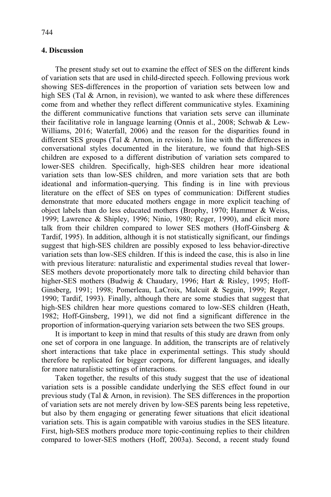## **4. Discussion**

The present study set out to examine the effect of SES on the different kinds of variation sets that are used in child-directed speech. Following previous work showing SES-differences in the proportion of variation sets between low and high SES (Tal & Arnon, in revision), we wanted to ask where these differences come from and whether they reflect different communicative styles. Examining the different communicative functions that variation sets serve can illuminate their facilitative role in language learning (Onnis et al., 2008; Schwab & Lew-Williams, 2016; Waterfall, 2006) and the reason for the disparities found in different SES groups (Tal & Arnon, in revision). In line with the differences in conversational styles documented in the literature, we found that high-SES children are exposed to a different distribution of variation sets compared to lower-SES children. Specifically, high-SES children hear more ideational variation sets than low-SES children, and more variation sets that are both ideational and information-querying. This finding is in line with previous literature on the effect of SES on types of communication: Different studies demonstrate that more educated mothers engage in more explicit teaching of object labels than do less educated mothers (Brophy, 1970; Hammer & Weiss, 1999; Lawrence & Shipley, 1996; Ninio, 1980; Reger, 1990), and elicit more talk from their children compared to lower SES mothers (Hoff-Ginsberg & Tardif, 1995). In addition, although it is not statistically significant, our findings suggest that high-SES children are possibly exposed to less behavior-directive variation sets than low-SES children. If this is indeed the case, this is also in line with previous literature: naturalistic and experimental studies reveal that lower-SES mothers devote proportionately more talk to directing child behavior than higher-SES mothers (Budwig & Chaudary, 1996; Hart & Risley, 1995; Hoff-Ginsberg, 1991; 1998; Pomerleau, LaCroix, Malcuit & Seguin, 1999; Reger, 1990; Tardif, 1993). Finally, although there are some studies that suggest that high-SES children hear more questions comared to low-SES children (Heath, 1982; Hoff-Ginsberg, 1991), we did not find a significant difference in the proportion of information-querying variarion sets between the two SES groups.

It is important to keep in mind that results of this study are drawn from only one set of corpora in one language. In addition, the transcripts are of relatively short interactions that take place in experimental settings. This study should therefore be replicated for bigger corpora, for different languages, and ideally for more naturalistic settings of interactions.

Taken together, the results of this study suggest that the use of ideational variation sets is a possible candidate underlying the SES effect found in our previous study (Tal & Arnon, in revision). The SES differences in the proportion of variation sets are not merely driven by low-SES parents being less repetetive, but also by them engaging or generating fewer situations that elicit ideational variation sets. This is again compatible with varoius studies in the SES liteature. First, high-SES mothers produce more topic-continuing replies to their children compared to lower-SES mothers (Hoff, 2003a). Second, a recent study found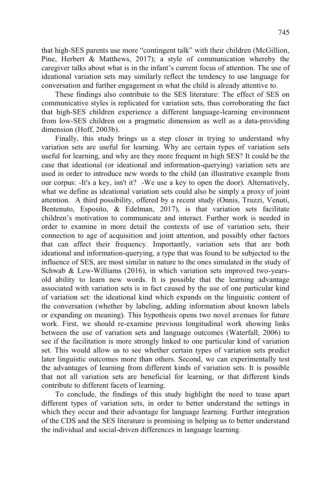that high-SES parents use more "contingent talk" with their children (McGillion, Pine, Herbert & Matthews, 2017); a style of communication whereby the caregiver talks about what is in the infant's current focus of attention. The use of ideational variation sets may similarly reflect the tendency to use language for conversation and further engagement in what the child is already attentive to.

These findings also contribute to the SES literature: The effect of SES on communicative styles is replicated for variation sets, thus corroborating the fact that high-SES children experience a different language-learning environment from low-SES children on a pragmatic dimension as well as a data-providing dimension (Hoff, 2003b).

Finally, this study brings us a step closer in trying to understand why variation sets are useful for learning. Why are certain types of variation sets useful for learning, and why are they more frequent in high SES? It could be the case that ideational (or ideational and information-querying) variation sets are used in order to introduce new words to the child (an illustrative example from our corpus: -It's a key, isn't it? -We use a key to open the door). Alternatively, what we define as ideational variation sets could also be simply a proxy of joint attention. A third possibility, offered by a recent study (Onnis, Truzzi, Venuti, Bentenuto, Esposito, & Edelman, 2017), is that variation sets facilitate children's motivation to communicate and interact. Further work is needed in order to examine in more detail the contexts of use of variation sets, their connection to age of acquisition and joint attention, and possibly other factors that can affect their frequency. Importantly, variation sets that are both ideational and information-querying, a type that was found to be subjected to the influence of SES, are most similar in nature to the ones simulated in the study of Schwab & Lew-Williams (2016), in which variation sets improved two-yearsold ability to learn new words. It is possible that the learning advantage associated with variation sets is in fact caused by the use of one particular kind of variation set: the ideational kind which expands on the linguistic content of the conversation (whether by labeling, adding information about known labels or expanding on meaning). This hypothesis opens two novel avenues for future work. First, we should re-examine previous longitudinal work showing links between the use of variation sets and language outcomes (Waterfall, 2006) to see if the facilitation is more strongly linked to one particular kind of variation set. This would allow us to see whether certain types of variation sets predict later linguistic outcomes more than others. Second, we can experimentally test the advantages of learning from different kinds of variation sets. It is possible that not all variation sets are beneficial for learning, or that different kinds contribute to different facets of learning.

To conclude, the findings of this study highlight the need to tease apart different types of variation sets, in order to better understand the settings in which they occur and their advantage for language learning. Further integration of the CDS and the SES literature is promising in helping us to better understand the individual and social-driven differences in language learning.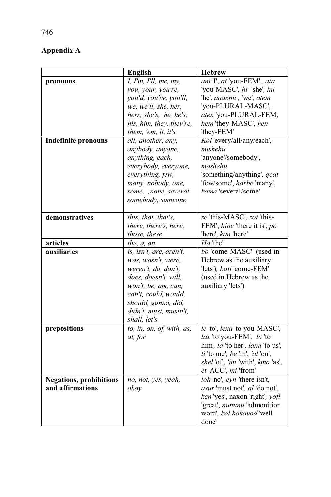# **Appendix A**

|                                | <b>English</b>            | <b>Hebrew</b>                    |
|--------------------------------|---------------------------|----------------------------------|
| pronouns                       | I, I'm, I'll, me, my,     | ani 'I', at 'you-FEM', ata       |
|                                | you, your, you're,        | 'you-MASC', hi 'she', hu         |
|                                | you'd, you've, you'll,    | 'he', anaxnu, 'we', atem         |
|                                | we, we'll, she, her,      | 'you-PLURAL-MASC',               |
|                                | hers, she's, he, he's,    | aten 'you-PLURAL-FEM,            |
|                                | his, him, they, they're,  | hem 'they-MASC', hen             |
|                                | them, 'em, it, it's       | 'they-FEM'                       |
| <b>Indefinite pronouns</b>     | all, another, anv.        | Kol'every/all/any/each',         |
|                                | anybody, anyone,          | mishehu                          |
|                                | anything, each,           | 'anyone'/somebody',              |
|                                | everybody, everyone,      | mashehu                          |
|                                | everything, few,          | 'something/anything', qcat       |
|                                | many, nobody, one,        | 'few/some', harbe 'many',        |
|                                | some, ,none, several      | kama 'several/some'              |
|                                | somebody, someone         |                                  |
|                                |                           |                                  |
| demonstratives                 | this, that, that's,       | ze 'this-MASC', zot 'this-       |
|                                | there, there's, here,     | FEM', hine 'there it is', po     |
|                                | those, these              | 'here', kan 'here'               |
| articles                       | the, a, an                | Ha 'the'                         |
| auxiliaries                    | is, isn't, are, aren't,   | bo 'come-MASC' (used in          |
|                                | was, wasn't, were,        | Hebrew as the auxiliary          |
|                                | weren't, do, don't,       | 'lets'), boii 'come-FEM'         |
|                                | does, doesn't, will,      | (used in Hebrew as the           |
|                                | won't, be, am, can,       | auxiliary 'lets')                |
|                                | can't, could, would,      |                                  |
|                                | should, gonna, did,       |                                  |
|                                | didn't, must, mustn't,    |                                  |
|                                | shall, let's              |                                  |
| prepositions                   | to, in, on, of, with, as, | le 'to', lexa 'to you-MASC',     |
|                                | at, for                   | lax 'to you-FEM', lo 'to         |
|                                |                           | him', la 'to her', lanu 'to us', |
|                                |                           | $li$ 'to me', be 'in', 'al 'on', |
|                                |                           | shel'of, 'im 'with', kmo 'as',   |
|                                |                           | et 'ACC', mi 'from'              |
| <b>Negations, prohibitions</b> | no, not, yes, yeah,       | loh 'no', eyn 'there isn't,      |
| and affirmations               | okav                      | asur 'must not', al 'do not',    |
|                                |                           | ken 'yes', naxon 'right', yofi   |
|                                |                           | 'great', nununu 'admonition      |
|                                |                           | word', kol hakavod 'well         |
|                                |                           | done'                            |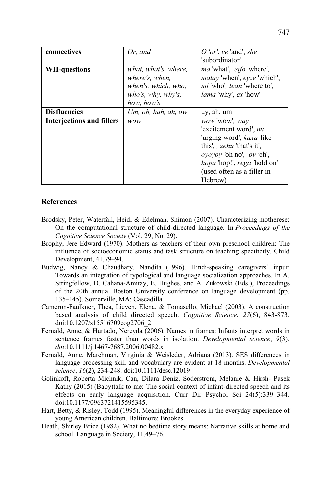| connectives                      | Or, and              | O 'or', $ve$ 'and', she                  |
|----------------------------------|----------------------|------------------------------------------|
|                                  |                      | 'subordinator'                           |
| <b>WH-questions</b>              | what, what's, where, | <i>ma</i> 'what', <i>eifo</i> 'where',   |
|                                  | where's, when,       | matay 'when', eyze 'which',              |
|                                  | when's, which, who,  | <i>mi</i> 'who', <i>lean</i> 'where to', |
|                                  | who's, why, why's,   | <i>lama</i> 'why', ex 'how'              |
|                                  | how, how's           |                                          |
| <b>Disfluencies</b>              | Um, oh, huh, ah, ow  | uy, ah, um                               |
| <b>Interjections and fillers</b> | <i>wow</i>           | wow'wow', way                            |
|                                  |                      | 'excitement word', nu                    |
|                                  |                      | 'urging word', <i>kaxa</i> 'like         |
|                                  |                      | this', <i>zehu</i> 'that's it',          |
|                                  |                      | oyoyoy 'oh no', oy 'oh',                 |
|                                  |                      | hopa 'hop!', rega 'hold on'              |
|                                  |                      | (used often as a filler in               |
|                                  |                      | Hebrew)                                  |

## **References**

- Brodsky, Peter, Waterfall, Heidi & Edelman, Shimon (2007). Characterizing motherese: On the computational structure of child-directed language. In *Proceedings of the Cognitive Science Society* (Vol. 29, No. 29).
- Brophy, Jere Edward (1970). Mothers as teachers of their own preschool children: The influence of socioeconomic status and task structure on teaching specificity. Child Development, 41,79–94.
- Budwig, Nancy & Chaudhary, Nandita (1996). Hindi-speaking caregivers' input: Towards an integration of typological and language socialization approaches. In A. Stringfellow, D. Cahana-Amitay, E. Hughes, and A. Zukowski (Eds.), Proceedings of the 20th annual Boston University conference on language development (pp. 135–145). Somerville, MA: Cascadilla.
- Cameron-Faulkner, Thea, Lieven, Elena, & Tomasello, Michael (2003). A construction based analysis of child directed speech. *Cognitive Science*, *27*(6), 843-873. doi:10.1207/s15516709cog2706\_2
- Fernald, Anne, & Hurtado, Nereyda (2006). Names in frames: Infants interpret words in sentence frames faster than words in isolation. *Developmental science*, *9*(3). *doi*:10.1111/j.1467-7687.2006.00482.x
- Fernald, Anne, Marchman, Virginia & Weisleder, Adriana (2013). SES differences in language processing skill and vocabulary are evident at 18 months. *Developmental science*, *16*(2), 234-248. doi:10.1111/desc.12019
- Golinkoff, Roberta Michnik, Can, Dilara Deniz, Soderstrom, Melanie & Hirsh- Pasek Kathy (2015) (Baby)talk to me: The social context of infant-directed speech and its effects on early language acquisition. Curr Dir Psychol Sci 24(5):339–344. doi:10.1177/0963721415595345.
- Hart, Betty, & Risley, Todd (1995). Meaningful differences in the everyday experience of young American children. Baltimore: Brookes.
- Heath, Shirley Brice (1982). What no bedtime story means: Narrative skills at home and school. Language in Society, 11,49–76.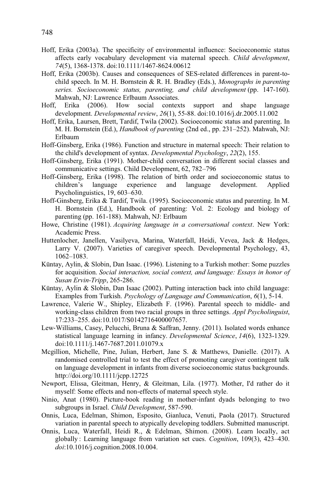- Hoff, Erika (2003a). The specificity of environmental influence: Socioeconomic status affects early vocabulary development via maternal speech. *Child development*, *74*(5), 1368-1378. doi:10.1111/1467-8624.00612
- Hoff, Erika (2003b). Causes and consequences of SES-related differences in parent-tochild speech. In M. H. Bornstein & R. H. Bradley (Eds.), *Monographs in parenting series. Socioeconomic status, parenting, and child development* (pp. 147-160). Mahwah, NJ: Lawrence Erlbaum Associates.
- Hoff, Erika (2006). How social contexts support and shape language development. *Developmental review*, *26*(1), 55-88. doi:10.1016/j.dr.2005.11.002
- Hoff, Erika, Laursen, Brett, Tardif, Twila (2002). Socioeconomic status and parenting. In M. H. Bornstein (Ed.), *Handbook of parenting* (2nd ed., pp. 231–252). Mahwah, NJ: Erlbaum
- Hoff-Ginsberg, Erika (1986). Function and structure in maternal speech: Their relation to the child's development of syntax. *Developmental Psychology*, *22*(2), 155.
- Hoff-Ginsberg, Erika (1991). Mother-child conversation in different social classes and communicative settings. Child Development, 62, 782–796
- Hoff-Ginsberg, Erika (1998). The relation of birth order and socioeconomic status to children's language experience and language development. Applied Psycholinguistics, 19, 603–630.
- Hoff-Ginsberg, Erika & Tardif, Twila. (1995). Socioeconomic status and parenting. In M. H. Bornstein (Ed.), Handbook of parenting: Vol. 2: Ecology and biology of parenting (pp. 161-188). Mahwah, NJ: Erlbaum
- Howe, Christine (1981). *Acquiring language in a conversational context*. New York: Academic Press.
- Huttenlocher, Janellen, Vasilyeva, Marina, Waterfall, Heidi, Vevea, Jack & Hedges, Larry V. (2007). Varieties of caregiver speech. Developmental Psychology, 43, 1062–1083.
- Küntay, Aylin, & Slobin, Dan Isaac. (1996). Listening to a Turkish mother: Some puzzles for acquisition. *Social interaction, social context, and language: Essays in honor of Susan Ervin-Tripp*, 265-286.
- Küntay, Aylin & Slobin, Dan Isaac (2002). Putting interaction back into child language: Examples from Turkish. *Psychology of Language and Communication*, *6*(1), 5-14.
- Lawrence, Valerie W., Shipley, Elizabeth F. (1996). Parental speech to middle- and working-class children from two racial groups in three settings. *Appl Psycholinguist*, 17:233–255. doi:10.1017/S0142716400007657.
- Lew-Williams, Casey, Pelucchi, Bruna & Saffran, Jenny. (2011). Isolated words enhance statistical language learning in infancy. *Developmental Science*, *14*(6), 1323-1329. doi:10.1111/j.1467-7687.2011.01079.x
- Mcgillion, Michelle, Pine, Julian, Herbert, Jane S. & Matthews, Danielle. (2017). A randomised controlled trial to test the effect of promoting caregiver contingent talk on language development in infants from diverse socioeconomic status backgrounds. http://doi.org/10.1111/jcpp.12725
- Newport, Elissa, Gleitman, Henry, & Gleitman, Lila. (1977). Mother, I'd rather do it myself: Some effects and non-effects of maternal speech style.
- Ninio, Anat (1980). Picture-book reading in mother-infant dyads belonging to two subgroups in Israel. *Child Development*, 587-590.
- Onnis, Luca, Edelman, Shimon, Esposito, Gianluca, Venuti, Paola (2017). Structured variation in parental speech to atypically developing toddlers. Submitted manuscript.
- Onnis, Luca, Waterfall, Heidi R., & Edelman, Shimon. (2008). Learn locally, act globally : Learning language from variation set cues. *Cognition*, 109(3), 423–430. *doi*:10.1016/j.cognition.2008.10.004.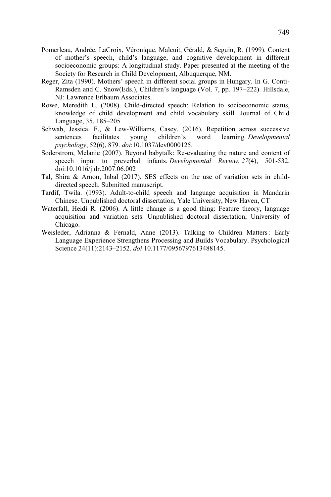- Pomerleau, Andrée, LaCroix, Véronique, Malcuit, Gérald, & Seguin, R. (1999). Content of mother's speech, child's language, and cognitive development in different socioeconomic groups: A longitudinal study. Paper presented at the meeting of the Society for Research in Child Development, Albuquerque, NM.
- Reger, Zita (1990). Mothers' speech in different social groups in Hungary. In G. Conti-Ramsden and C. Snow(Eds.), Children's language (Vol. 7, pp. 197–222). Hillsdale, NJ: Lawrence Erlbaum Associates.
- Rowe, Meredith L. (2008). Child-directed speech: Relation to socioeconomic status, knowledge of child development and child vocabulary skill. Journal of Child Language, 35, 185–205
- Schwab, Jessica. F., & Lew-Williams, Casey. (2016). Repetition across successive sentences facilitates young children's word learning. Developmental sentences facilitates young children's word learning. *Developmental psychology*, 52(6), 879. *doi*:10.1037/dev0000125.
- Soderstrom, Melanie (2007). Beyond babytalk: Re-evaluating the nature and content of speech input to preverbal infants. *Developmental Review*, *27*(4), 501-532. doi:10.1016/j.dr.2007.06.002
- Tal, Shira & Arnon, Inbal  $(2017)$ . SES effects on the use of variation sets in childdirected speech. Submitted manuscript.
- Tardif, Twila. (1993). Adult-to-child speech and language acquisition in Mandarin Chinese. Unpublished doctoral dissertation, Yale University, New Haven, CT
- Waterfall, Heidi R. (2006). A little change is a good thing: Feature theory, language acquisition and variation sets. Unpublished doctoral dissertation, University of Chicago.
- Weisleder, Adrianna & Fernald, Anne (2013). Talking to Children Matters : Early Language Experience Strengthens Processing and Builds Vocabulary. Psychological Science 24(11):2143–2152. *doi*:10.1177/0956797613488145.